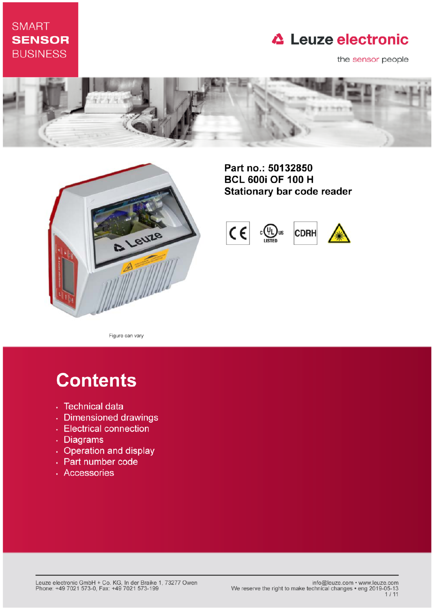## **SMART SENSOR BUSINESS**

## **△ Leuze electronic**

the sensor people





Part no.: 50132850 **BCL 600i OF 100 H Stationary bar code reader** 



Figure can vary

# **Contents**

- · Technical data
- · Dimensioned drawings
- Electrical connection
- . Diagrams
- Operation and display
- Part number code
- · Accessories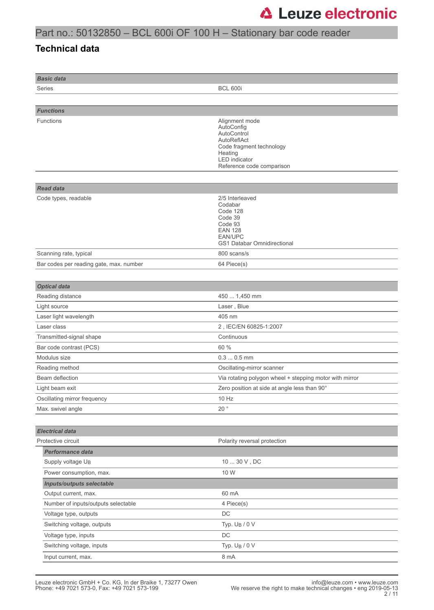### Part no.: 50132850 – BCL 600i OF 100 H – Stationary bar code reader

#### **Technical data**

| <b>Basic data</b>                        |                                                                                                                                                        |  |
|------------------------------------------|--------------------------------------------------------------------------------------------------------------------------------------------------------|--|
| Series                                   | <b>BCL 600i</b>                                                                                                                                        |  |
|                                          |                                                                                                                                                        |  |
| <b>Functions</b>                         |                                                                                                                                                        |  |
| Functions                                | Alignment mode<br>AutoConfig<br>AutoControl<br>AutoReflAct<br>Code fragment technology<br>Heating<br><b>LED</b> indicator<br>Reference code comparison |  |
|                                          |                                                                                                                                                        |  |
| <b>Read data</b><br>Code types, readable | 2/5 Interleaved<br>Codabar<br>Code 128<br>Code 39<br>Code 93<br><b>EAN 128</b><br>EAN/UPC<br><b>GS1 Databar Omnidirectional</b>                        |  |
| Scanning rate, typical                   | 800 scans/s                                                                                                                                            |  |
| Bar codes per reading gate, max. number  | 64 Piece(s)                                                                                                                                            |  |
|                                          |                                                                                                                                                        |  |
| <b>Optical data</b>                      |                                                                                                                                                        |  |
| Reading distance                         | 450  1,450 mm                                                                                                                                          |  |
| Light source                             | Laser, Blue                                                                                                                                            |  |
| Laser light wavelength                   | 405 nm                                                                                                                                                 |  |
| Laser class                              | 2, IEC/EN 60825-1:2007                                                                                                                                 |  |
| Transmitted-signal shape                 | Continuous                                                                                                                                             |  |
| Bar code contrast (PCS)                  | 60 %                                                                                                                                                   |  |
| Modulus size                             | $0.30.5$ mm                                                                                                                                            |  |
| Reading method                           | Oscillating-mirror scanner                                                                                                                             |  |
| Beam deflection                          | Via rotating polygon wheel + stepping motor with mirror                                                                                                |  |
| Light beam exit                          | Zero position at side at angle less than 90°                                                                                                           |  |
| Oscillating mirror frequency             | 10 Hz                                                                                                                                                  |  |
| Max. swivel angle                        | $20^{\circ}$                                                                                                                                           |  |
|                                          |                                                                                                                                                        |  |
| <b>Electrical data</b>                   |                                                                                                                                                        |  |
| Protective circuit                       | Polarity reversal protection                                                                                                                           |  |
| <b>Performance data</b>                  |                                                                                                                                                        |  |
| Supply voltage U <sub>B</sub>            | $1030$ V , DC                                                                                                                                          |  |
| Power consumption, max.                  | 10 W                                                                                                                                                   |  |
| <b>Inputs/outputs selectable</b>         |                                                                                                                                                        |  |
| Output current, max.                     | 60 mA                                                                                                                                                  |  |
| Number of inputs/outputs selectable      | 4 Piece(s)                                                                                                                                             |  |
| Voltage type, outputs                    | DC                                                                                                                                                     |  |
| Switching voltage, outputs               | Typ. $U_B / 0 V$                                                                                                                                       |  |
| Voltage type, inputs                     | $\mathsf{DC}$                                                                                                                                          |  |
| Switching voltage, inputs                | Typ. U <sub>B</sub> / 0 V                                                                                                                              |  |
| Input current, max.                      | 8 mA                                                                                                                                                   |  |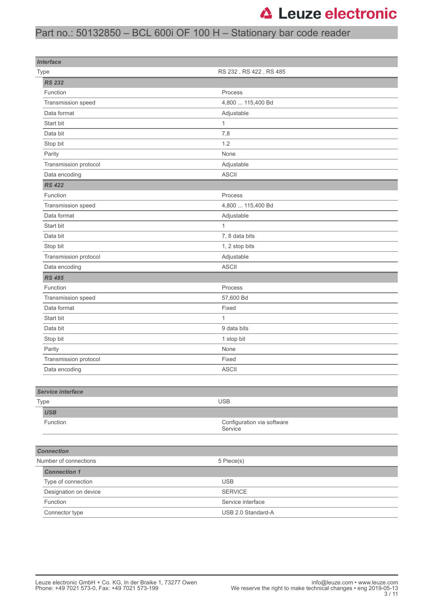### Part no.: 50132850 – BCL 600i OF 100 H – Stationary bar code reader

| <b>Interface</b>         |                                       |  |
|--------------------------|---------------------------------------|--|
| Type                     | RS 232, RS 422, RS 485                |  |
| <b>RS 232</b>            |                                       |  |
| Function                 | Process                               |  |
| Transmission speed       | 4,800  115,400 Bd                     |  |
| Data format              | Adjustable                            |  |
| Start bit                | 1                                     |  |
| Data bit                 | 7,8                                   |  |
| Stop bit                 | 1.2                                   |  |
| Parity                   | None                                  |  |
| Transmission protocol    | Adjustable                            |  |
| Data encoding            | <b>ASCII</b>                          |  |
| <b>RS 422</b>            |                                       |  |
| Function                 | Process                               |  |
| Transmission speed       | 4,800  115,400 Bd                     |  |
| Data format              | Adjustable                            |  |
| Start bit                | $\mathbf{1}$                          |  |
| Data bit                 | 7, 8 data bits                        |  |
| Stop bit                 | 1, 2 stop bits                        |  |
| Transmission protocol    | Adjustable                            |  |
| Data encoding            | <b>ASCII</b>                          |  |
| <b>RS 485</b>            |                                       |  |
| Function                 | Process                               |  |
| Transmission speed       | 57,600 Bd                             |  |
| Data format              | Fixed                                 |  |
| Start bit                | 1                                     |  |
| Data bit                 | 9 data bits                           |  |
| Stop bit                 | 1 stop bit                            |  |
| Parity                   | None                                  |  |
| Transmission protocol    | Fixed                                 |  |
| Data encoding            | <b>ASCII</b>                          |  |
|                          |                                       |  |
| <b>Service interface</b> |                                       |  |
| Type                     | <b>USB</b>                            |  |
| <b>USB</b>               |                                       |  |
| Function                 | Configuration via software<br>Service |  |
|                          |                                       |  |
| <b>Connection</b>        |                                       |  |
| Number of connections    | 5 Piece(s)                            |  |
| <b>Connection 1</b>      |                                       |  |
| Type of connection       | <b>USB</b>                            |  |
| Designation on device    | <b>SERVICE</b>                        |  |
| Function                 | Service interface                     |  |
| Connector type           | USB 2.0 Standard-A                    |  |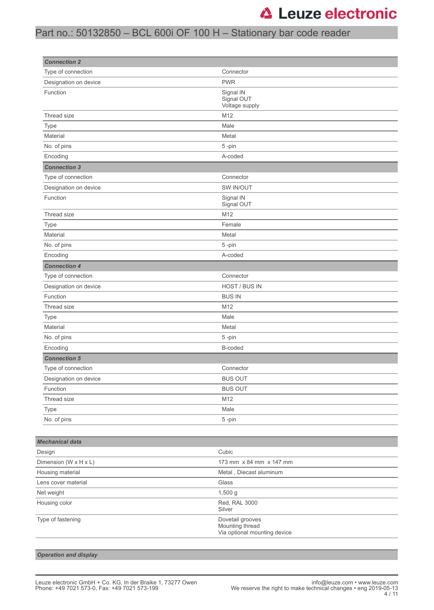### Part no.: 50132850 – BCL 600i OF 100 H – Stationary bar code reader

| <b>Connection 2</b>    |                                           |
|------------------------|-------------------------------------------|
| Type of connection     | Connector                                 |
| Designation on device  | <b>PWR</b>                                |
| Function               | Signal IN<br>Signal OUT<br>Voltage supply |
| Thread size            | M12                                       |
| Type                   | Male                                      |
| Material               | Metal                                     |
| No. of pins            | 5-pin                                     |
| Encoding               | A-coded                                   |
| <b>Connection 3</b>    |                                           |
| Type of connection     | Connector                                 |
| Designation on device  | SW IN/OUT                                 |
| Function               | Signal IN<br>Signal OUT                   |
| Thread size            | M12                                       |
| Type                   | Female                                    |
| Material               | Metal                                     |
| No. of pins            | 5-pin                                     |
| Encoding               | A-coded                                   |
| <b>Connection 4</b>    |                                           |
| Type of connection     | Connector                                 |
| Designation on device  | HOST / BUS IN                             |
| Function               | <b>BUS IN</b>                             |
| Thread size            | M12                                       |
| Type                   | Male                                      |
| Material               | Metal                                     |
| No. of pins            | 5-pin                                     |
| Encoding               | B-coded                                   |
| <b>Connection 5</b>    |                                           |
| Type of connection     | Connector                                 |
| Designation on device  | <b>BUS OUT</b>                            |
| Function               | <b>BUS OUT</b>                            |
| Thread size            | M12                                       |
| Type                   | Male                                      |
| No. of pins            | 5-pin                                     |
|                        |                                           |
| <b>Mechanical data</b> |                                           |
| Design                 | Cubic                                     |
| Dimension (W x H x L)  | 173 mm x 84 mm x 147 mm                   |
| Housing material       | Metal, Diecast aluminum                   |
| Lens cover material    | Glass                                     |
| Net weight             | 1,500 g                                   |
| Housing color          | Red, RAL 3000<br>Silver                   |
| Type of fastening      | Dovetail grooves                          |

Mounting thread

Via optional mounting device

*Operation and display*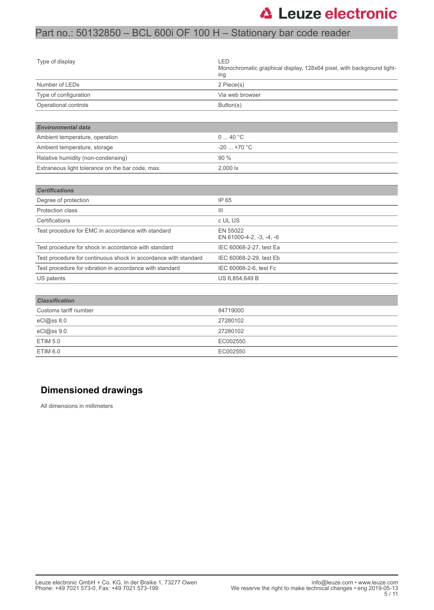### Part no.: 50132850 – BCL 600i OF 100 H – Stationary bar code reader

| Type of display                                                 | LED<br>Monochromatic graphical display, 128x64 pixel, with background light-<br>ing |
|-----------------------------------------------------------------|-------------------------------------------------------------------------------------|
| Number of LEDs                                                  | 2 Piece(s)                                                                          |
| Type of configuration                                           | Via web browser                                                                     |
| Operational controls                                            | Button(s)                                                                           |
|                                                                 |                                                                                     |
| <b>Environmental data</b>                                       |                                                                                     |
| Ambient temperature, operation                                  | 040 °C                                                                              |
| Ambient temperature, storage                                    | $-20+70$ °C                                                                         |
| Relative humidity (non-condensing)                              | 90 %                                                                                |
| Extraneous light tolerance on the bar code, max.                | 2,000 lx                                                                            |
|                                                                 |                                                                                     |
| <b>Certifications</b>                                           |                                                                                     |
| Degree of protection                                            | IP 65                                                                               |
| Protection class                                                | III                                                                                 |
| Certifications                                                  | c UL US                                                                             |
| Test procedure for EMC in accordance with standard              | EN 55022<br>EN 61000-4-2, -3, -4, -6                                                |
| Test procedure for shock in accordance with standard            | IEC 60068-2-27, test Ea                                                             |
| Test procedure for continuous shock in accordance with standard | IEC 60068-2-29, test Eb                                                             |
| Test procedure for vibration in accordance with standard        | IEC 60068-2-6, test Fc                                                              |
| US patents                                                      | US 6,854,649 B                                                                      |
|                                                                 |                                                                                     |
| <b>Classification</b>                                           |                                                                                     |
| Customs tariff number                                           | 84719000                                                                            |
| eCl@ss 8.0                                                      | 27280102                                                                            |
| eCl@ss 9.0                                                      | 27280102                                                                            |
| <b>ETIM 5.0</b>                                                 | EC002550                                                                            |
| <b>ETIM 6.0</b>                                                 | EC002550                                                                            |

#### **Dimensioned drawings**

All dimensions in millimeters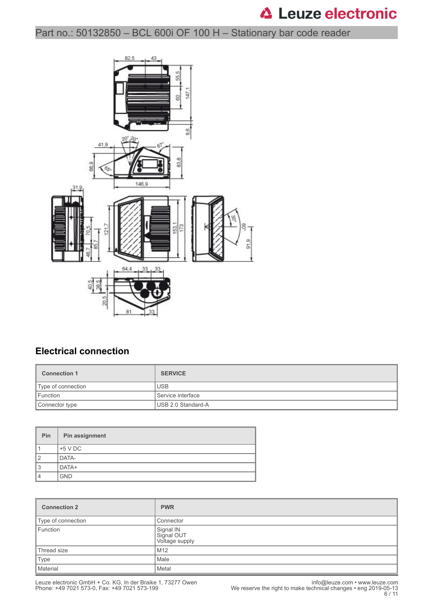Part no.: 50132850 – BCL 600i OF 100 H – Stationary bar code reader



#### **Electrical connection**

| <b>Connection 1</b> | <b>SERVICE</b>      |
|---------------------|---------------------|
| Type of connection  | <b>USB</b>          |
| Function            | l Service interface |
| Connector type      | USB 2.0 Standard-A  |

| Pin | Pin assignment |
|-----|----------------|
|     | $+5$ V DC      |
| 2   | <b>DATA-</b>   |
| 3   | DATA+          |
| 4   | <b>GND</b>     |

| <b>Connection 2</b> | <b>PWR</b>                                |
|---------------------|-------------------------------------------|
| Type of connection  | Connector                                 |
| Function            | Signal IN<br>Signal OUT<br>Voltage supply |
| Thread size         | l M12                                     |
| Type                | Male                                      |
| Material            | Metal                                     |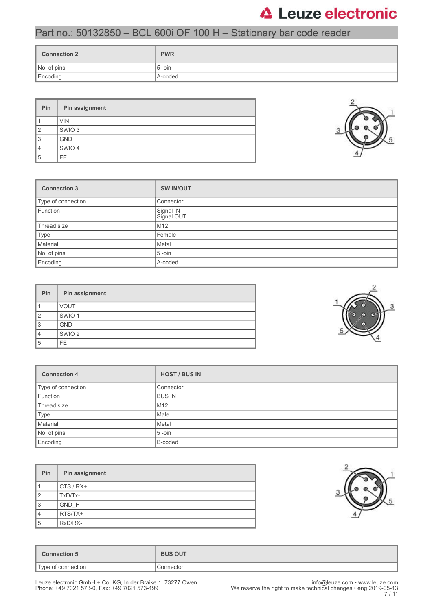### Part no.: 50132850 – BCL 600i OF 100 H – Stationary bar code reader

| <b>Connection 2</b> | <b>PWR</b> |
|---------------------|------------|
| No. of pins         | $5$ -pin   |
| Encoding            | A-coded    |

| Pin            | Pin assignment    |
|----------------|-------------------|
|                | <b>VIN</b>        |
| $\overline{2}$ | SWIO <sub>3</sub> |
| 3              | <b>GND</b>        |
| 4              | SWIO 4            |
| 5              | FE.               |



| Pin | Pin assignment    |
|-----|-------------------|
|     | <b>VOUT</b>       |
| 2   | SWIO <sub>1</sub> |
| 3   | <b>GND</b>        |
| 4   | SWIO <sub>2</sub> |
| 5   | FE.               |

| <b>Connection 4</b> | <b>HOST / BUS IN</b> |
|---------------------|----------------------|
| Type of connection  | Connector            |
| Function            | <b>BUS IN</b>        |
| Thread size         | M12                  |
| Type                | Male                 |
| Material            | Metal                |
| No. of pins         | $5 - pin$            |
| Encoding            | B-coded              |

| Pin            | Pin assignment |
|----------------|----------------|
|                | $CTS/RX+$      |
| $\overline{2}$ | TxD/Tx-        |
| 3              | GND H          |
| $\overline{4}$ | RTS/TX+        |
| 5              | RxD/RX-        |



| Connection 5       | <b>BUS OUT</b> |
|--------------------|----------------|
| Type of connection | Connector      |
|                    |                |

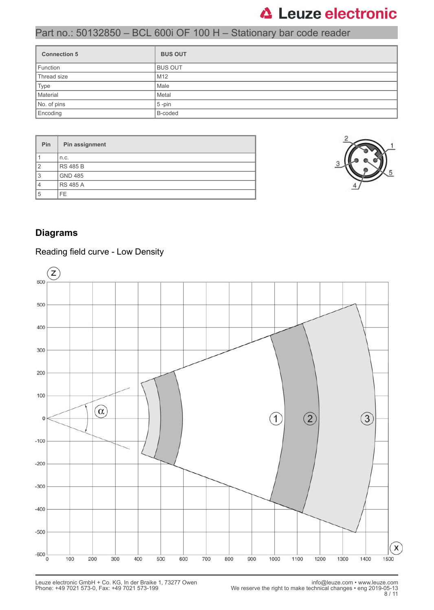### Part no.: 50132850 – BCL 600i OF 100 H – Stationary bar code reader

| <b>Connection 5</b> | <b>BUS OUT</b>  |
|---------------------|-----------------|
| Function            | <b>BUS OUT</b>  |
| Thread size         | M <sub>12</sub> |
| Type                | Male            |
| Material            | Metal           |
| No. of pins         | $5$ -pin        |
| Encoding            | B-coded         |

| Pin            | Pin assignment  |
|----------------|-----------------|
|                | n.c.            |
| $\overline{2}$ | <b>RS 485 B</b> |
| 3              | <b>GND 485</b>  |
| 4              | <b>RS 485 A</b> |
| 5              | <b>FE</b>       |



#### **Diagrams**

#### Reading field curve - Low Density

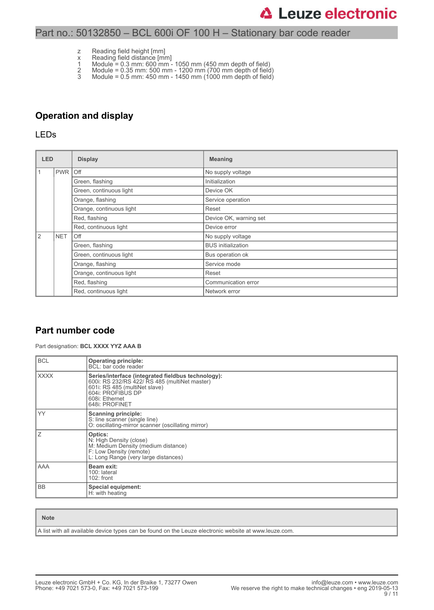#### Part no.: 50132850 – BCL 600i OF 100 H – Stationary bar code reader

- z Reading field height [mm]
- x Reading field distance [mm]
- 1 Module = 0.3 mm: 600 mm 1050 mm (450 mm depth of field)
- 2 Module = 0.35 mm: 500 mm 1200 mm (700 mm depth of field) 3 Module = 0.5 mm: 450 mm - 1450 mm (1000 mm depth of field)

#### **Operation and display**

#### LEDs

| <b>LED</b><br><b>Display</b> |                   |                          | <b>Meaning</b>            |  |  |
|------------------------------|-------------------|--------------------------|---------------------------|--|--|
| $\mathbf{1}$                 | PWR Off           |                          | No supply voltage         |  |  |
|                              |                   | Green, flashing          | Initialization            |  |  |
|                              |                   | Green, continuous light  | Device OK                 |  |  |
|                              |                   | Orange, flashing         | Service operation         |  |  |
|                              |                   | Orange, continuous light | Reset                     |  |  |
|                              |                   | Red, flashing            | Device OK, warning set    |  |  |
|                              |                   | Red, continuous light    | Device error              |  |  |
| <sup>2</sup>                 | <b>NET</b><br>Off |                          | No supply voltage         |  |  |
|                              |                   | Green, flashing          | <b>BUS</b> initialization |  |  |
|                              |                   | Green, continuous light  | Bus operation ok          |  |  |
|                              |                   | Orange, flashing         | Service mode              |  |  |
|                              |                   | Orange, continuous light | Reset                     |  |  |
|                              |                   | Red, flashing            | Communication error       |  |  |
|                              |                   | Red, continuous light    | Network error             |  |  |

#### **Part number code**

Part designation: **BCL XXXX YYZ AAA B**

| <b>BCL</b>  | <b>Operating principle:</b><br>BCL: bar code reader                                                                                                                                           |
|-------------|-----------------------------------------------------------------------------------------------------------------------------------------------------------------------------------------------|
| <b>XXXX</b> | Series/interface (integrated fieldbus technology):<br>600i: RS 232/RS 422/ RS 485 (multiNet master)<br>601i: RS 485 (multiNet slave)<br>604i: PROFIBUS DP<br>608i: Ethernet<br>648i: PROFINET |
| YY          | <b>Scanning principle:</b><br>S: line scanner (single line)<br>O: oscillating-mirror scanner (oscillating mirror)                                                                             |
| ΙZ          | Optics:<br>N: High Density (close)<br>M: Medium Density (medium distance)<br>F: Low Density (remote)<br>L: Long Range (very large distances)                                                  |
| l AAA       | Beam exit:<br>100: lateral<br>$102:$ front                                                                                                                                                    |
| l BB        | Special equipment:<br>H: with heating                                                                                                                                                         |

| <b>Note</b>                                                                                           |
|-------------------------------------------------------------------------------------------------------|
| A list with all available device types can be found on the Leuze electronic website at www.leuze.com. |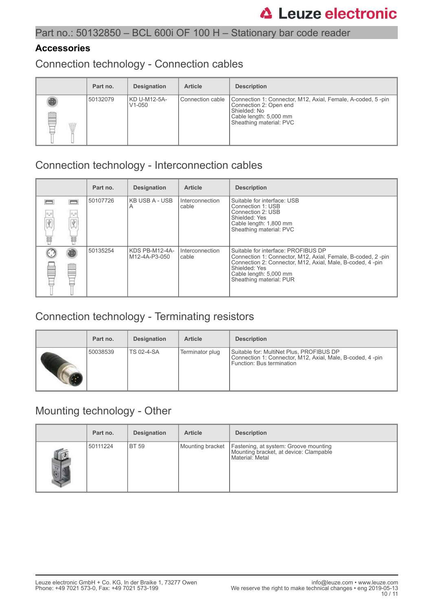#### **Accessories**

Connection technology - Connection cables

|   | Part no. | <b>Designation</b>         | <b>Article</b>     | <b>Description</b>                                                                                                                                         |
|---|----------|----------------------------|--------------------|------------------------------------------------------------------------------------------------------------------------------------------------------------|
| ß | 50132079 | KD U-M12-5A-<br>$V1 - 050$ | l Connection cable | Connection 1: Connector, M12, Axial, Female, A-coded, 5-pin<br>Connection 2: Open end<br>Shielded: No<br>Cable length: 5,000 mm<br>Sheathing material: PVC |

### Connection technology - Interconnection cables

|                |                       | Part no. | <b>Designation</b>              | <b>Article</b>           | <b>Description</b>                                                                                                                                                                                                                     |
|----------------|-----------------------|----------|---------------------------------|--------------------------|----------------------------------------------------------------------------------------------------------------------------------------------------------------------------------------------------------------------------------------|
| 0,0<br>Ÿ.<br>Ħ | $\sigma_{\rm m}$<br>諨 | 50107726 | <b>KB USB A - USB</b><br>A      | Interconnection<br>cable | Suitable for interface: USB<br>Connection 1: USB<br>Connection 2: USB<br>Shielded: Yes<br>Cable length: 1,800 mm<br>Sheathing material: PVC                                                                                            |
|                |                       | 50135254 | KDS PB-M12-4A-<br>M12-4A-P3-050 | Interconnection<br>cable | Suitable for interface: PROFIBUS DP<br>Connection 1: Connector, M12, Axial, Female, B-coded, 2-pin<br>Connection 2: Connector, M12, Axial, Male, B-coded, 4 -pin<br>Shielded: Yes<br>Cable length: 5,000 mm<br>Sheathing material: PUR |

## Connection technology - Terminating resistors

| Part no. | <b>Designation</b> | <b>Article</b>  | <b>Description</b>                                                                                                                 |
|----------|--------------------|-----------------|------------------------------------------------------------------------------------------------------------------------------------|
| 50038539 | <b>TS 02-4-SA</b>  | Terminator plug | Suitable for: MultiNet Plus, PROFIBUS DP<br>Connection 1: Connector, M12, Axial, Male, B-coded, 4-pin<br>Function: Bus termination |

### Mounting technology - Other

|                 | Part no. | <b>Designation</b> | <b>Article</b>   | <b>Description</b>                                                                                 |
|-----------------|----------|--------------------|------------------|----------------------------------------------------------------------------------------------------|
| $\overline{12}$ | 50111224 | <b>BT 59</b>       | Mounting bracket | Fastening, at system: Groove mounting<br>Mounting bracket, at device: Clampable<br>Material: Metal |